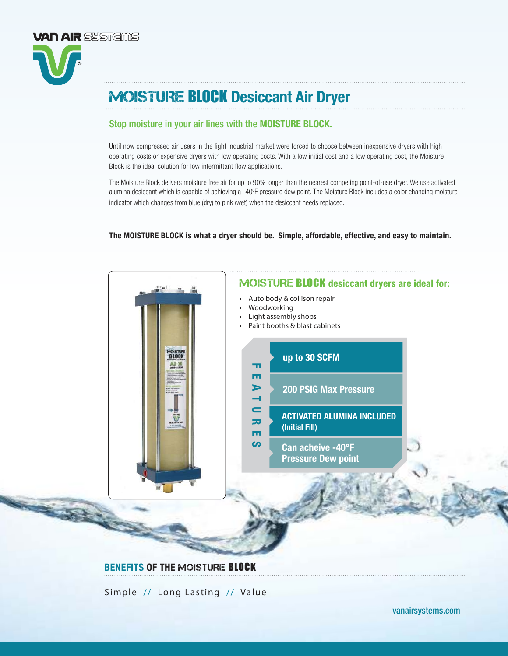# Stop moisture in your air lines with the MOISTURE BLOCK.

**VAN AIR** SYSTEMS

Until now compressed air users in the light industrial market were forced to choose between inexpensive dryers with high operating costs or expensive dryers with low operating costs. With a low initial cost and a low operating cost, the Moisture Block is the ideal solution for low intermittant flow applications.

The Moisture Block delivers moisture free air for up to 90% longer than the nearest competing point-of-use dryer. We use activated alumina desiccant which is capable of achieving a -40ºF pressure dew point. The Moisture Block includes a color changing moisture indicator which changes from blue (dry) to pink (wet) when the desiccant needs replaced.

The MOISTURE BLOCK is what a dryer should be. Simple, affordable, effective, and easy to maintain.



Simple // Long Lasting // Value

[vanairsystems.com](http://www.vanairsystems.com)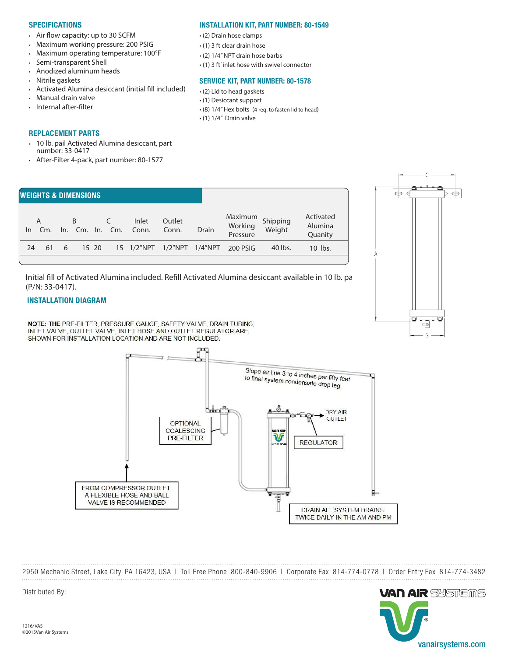#### **SPECIFICATIONS**

- Air flow capacity: up to 30 SCFM
- Maximum working pressure: 200 PSIG
- Maximum operating temperature: 100°F
- Semi-transparent Shell
- Anodized aluminum heads
- Nitrile gaskets
- Activated Alumina desiccant (initial fill included)
- Manual drain valve
- Internal after-filter

#### REPLACEMENT PARTS

- 10 lb. pail Activated Alumina desiccant, part number: 33-0417
- After-Filter 4-pack, part number: 80-1577

#### INSTALLATION KIT, PART NUMBER: 80-1549

- (2) Drain hose clamps
- (1) 3 ft clear drain hose
- (2) 1/4" NPT drain hose barbs
- (1) 3 ft' inlet hose with swivel connector

#### SERVICE KIT, PART NUMBER: 80-1578

- (2) Lid to head gaskets
- (1) Desiccant support
- (8) 1/4" Hex bolts (4 req. to fasten lid to head)
- (1) 1/4" Drain valve



Initial fill of Activated Alumina included. Refill Activated Alumina desiccant available in 10 lb. pa (P/N: 33-0417).

## INSTALLATION DIAGRAM

NOTE: THE PRE-FILTER, PRESSURE GAUGE, SAFETY VALVE, DRAIN TUBING, INLET VALVE, OUTLET VALVE, INLET HOSE AND OUTLET REGULATOR ARE SHOWN FOR INSTALLATION LOCATION AND ARE NOT INCLUDED.



2950 Mechanic Street, Lake City, PA 16423, USA | Toll Free Phone 800-840-9906 | Corporate Fax 814-774-0778 | Order Entry Fax 814-774-3482



C

 $\oplus$ 

 $\oplus$ 

 $\epsilon$ 

w

÷

B

Distributed By: